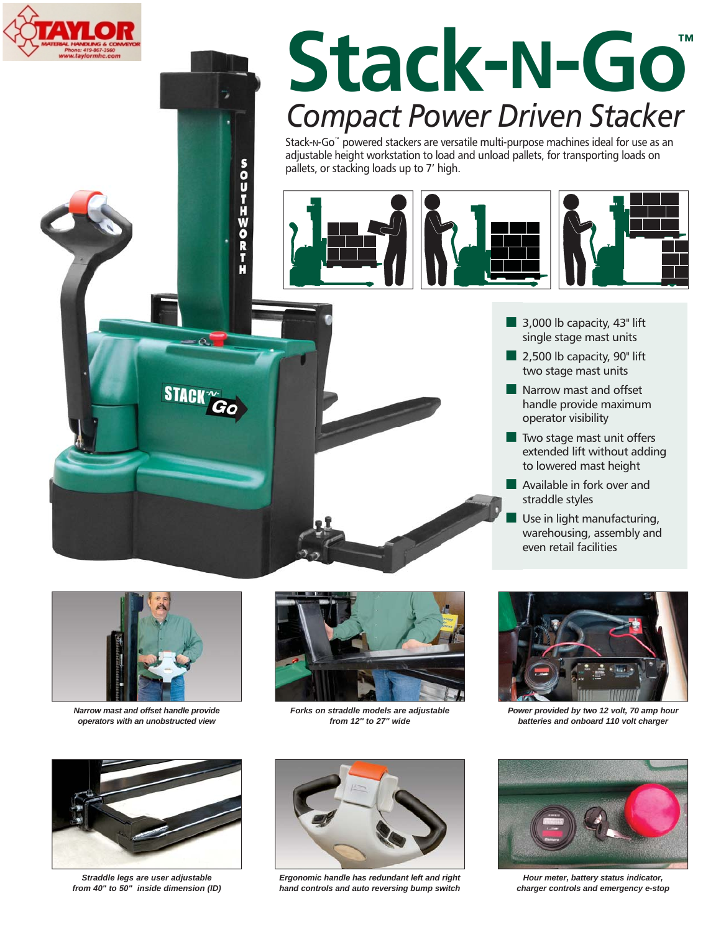

# **Stack-N-Go™** *Compact Power Driven Stacker*

Stack-N-Go™ powered stackers are versatile multi-purpose machines ideal for use as an adjustable height workstation to load and unload pallets, for transporting loads on pallets, or stacking loads up to 7' high.



- $\blacksquare$  3,000 lb capacity, 43" lift single stage mast units
- $\blacksquare$  2,500 lb capacity, 90" lift two stage mast units
- $\blacksquare$  Narrow mast and offset handle provide maximum operator visibility
- $\blacksquare$  Two stage mast unit offers extended lift without adding to lowered mast height
- **Available in fork over and** straddle styles
- Use in light manufacturing, warehousing, assembly and even retail facilities



STACK

SOUTHWORT

*Narrow mast and offset handle provide operators with an unobstructed view*



*Straddle legs are user adjustable from 40" to 50" inside dimension (ID)*



*Forks on straddle models are adjustable from 12'' to 27'' wide*



*Power provided by two 12 volt, 70 amp hour batteries and onboard 110 volt charger*



*Ergonomic handle has redundant left and right hand controls and auto reversing bump switch*



*Hour meter, battery status indicator, charger controls and emergency e-stop*